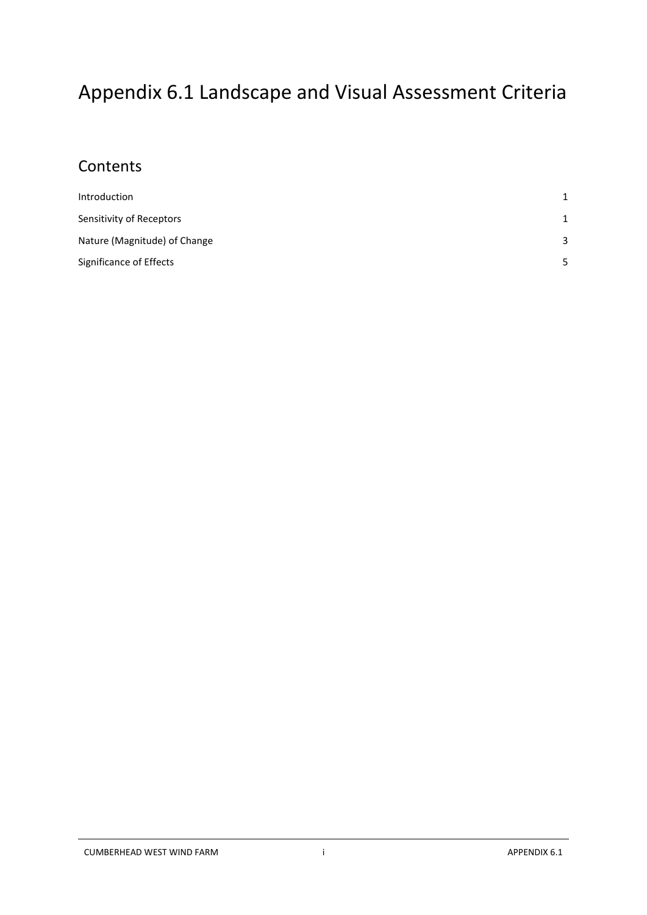# Appendix 6.1 Landscape and Visual Assessment Criteria

## Contents

| Introduction                 | 1 |
|------------------------------|---|
| Sensitivity of Receptors     | 1 |
| Nature (Magnitude) of Change | 3 |
| Significance of Effects      | д |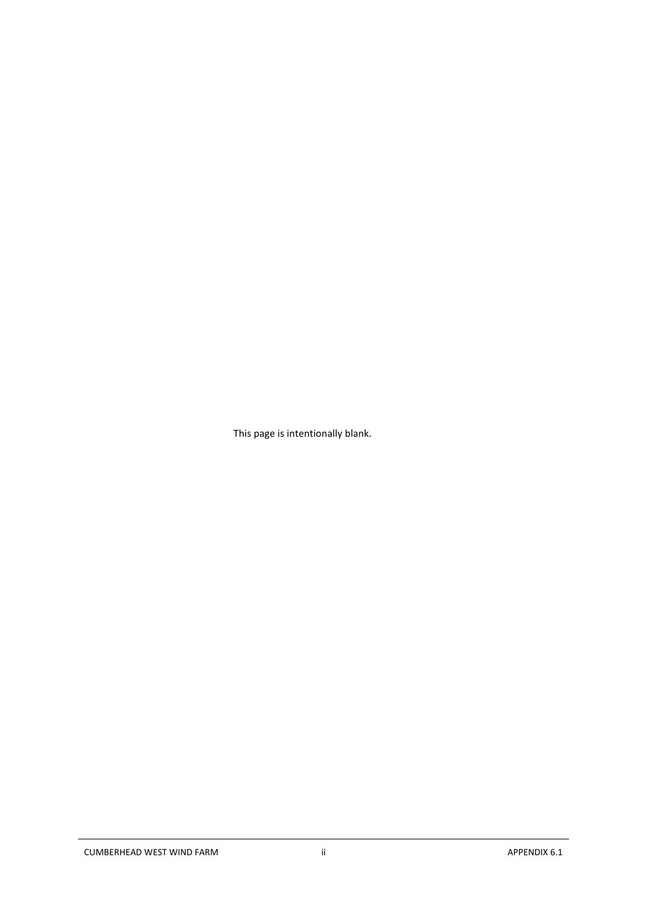This page is intentionally blank.

### CUMBERHEAD WEST WIND FARM ii ii ali ali ali appendix 6.1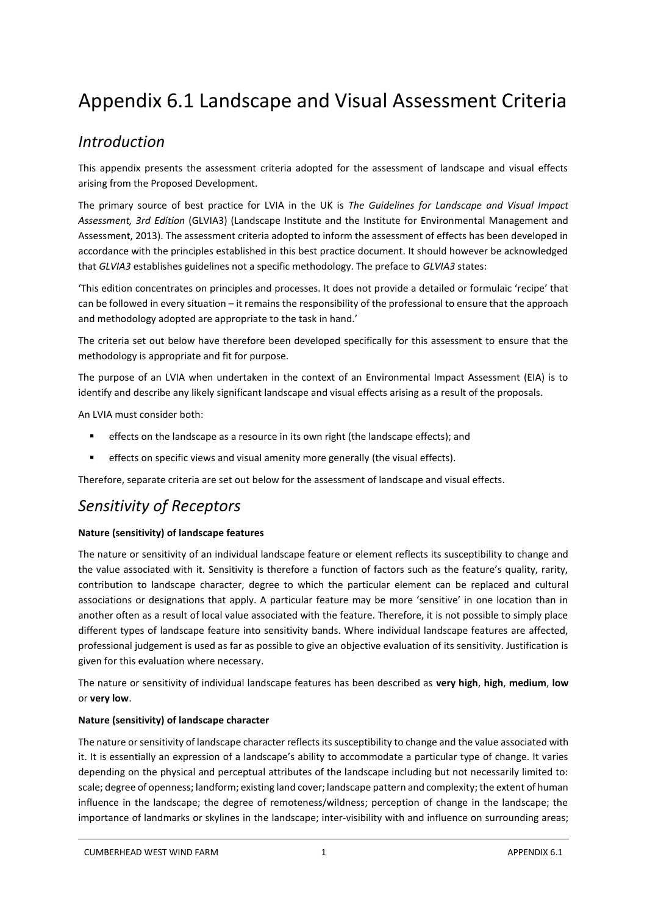# Appendix 6.1 Landscape and Visual Assessment Criteria

### <span id="page-2-0"></span>*Introduction*

This appendix presents the assessment criteria adopted for the assessment of landscape and visual effects arising from the Proposed Development.

The primary source of best practice for LVIA in the UK is *The Guidelines for Landscape and Visual Impact Assessment, 3rd Edition* (GLVIA3) (Landscape Institute and the Institute for Environmental Management and Assessment, 2013). The assessment criteria adopted to inform the assessment of effects has been developed in accordance with the principles established in this best practice document. It should however be acknowledged that *GLVIA3* establishes guidelines not a specific methodology. The preface to *GLVIA3* states:

'This edition concentrates on principles and processes. It does not provide a detailed or formulaic 'recipe' that can be followed in every situation – it remains the responsibility of the professional to ensure that the approach and methodology adopted are appropriate to the task in hand.'

The criteria set out below have therefore been developed specifically for this assessment to ensure that the methodology is appropriate and fit for purpose.

The purpose of an LVIA when undertaken in the context of an Environmental Impact Assessment (EIA) is to identify and describe any likely significant landscape and visual effects arising as a result of the proposals.

An LVIA must consider both:

- effects on the landscape as a resource in its own right (the landscape effects); and
- **E** effects on specific views and visual amenity more generally (the visual effects).

Therefore, separate criteria are set out below for the assessment of landscape and visual effects.

### <span id="page-2-1"></span>*Sensitivity of Receptors*

### **Nature (sensitivity) of landscape features**

The nature or sensitivity of an individual landscape feature or element reflects its susceptibility to change and the value associated with it. Sensitivity is therefore a function of factors such as the feature's quality, rarity, contribution to landscape character, degree to which the particular element can be replaced and cultural associations or designations that apply. A particular feature may be more 'sensitive' in one location than in another often as a result of local value associated with the feature. Therefore, it is not possible to simply place different types of landscape feature into sensitivity bands. Where individual landscape features are affected, professional judgement is used as far as possible to give an objective evaluation of its sensitivity. Justification is given for this evaluation where necessary.

The nature or sensitivity of individual landscape features has been described as **very high**, **high**, **medium**, **low** or **very low**.

### **Nature (sensitivity) of landscape character**

The nature or sensitivity of landscape character reflects its susceptibility to change and the value associated with it. It is essentially an expression of a landscape's ability to accommodate a particular type of change. It varies depending on the physical and perceptual attributes of the landscape including but not necessarily limited to: scale; degree of openness; landform; existing land cover; landscape pattern and complexity; the extent of human influence in the landscape; the degree of remoteness/wildness; perception of change in the landscape; the importance of landmarks or skylines in the landscape; inter-visibility with and influence on surrounding areas;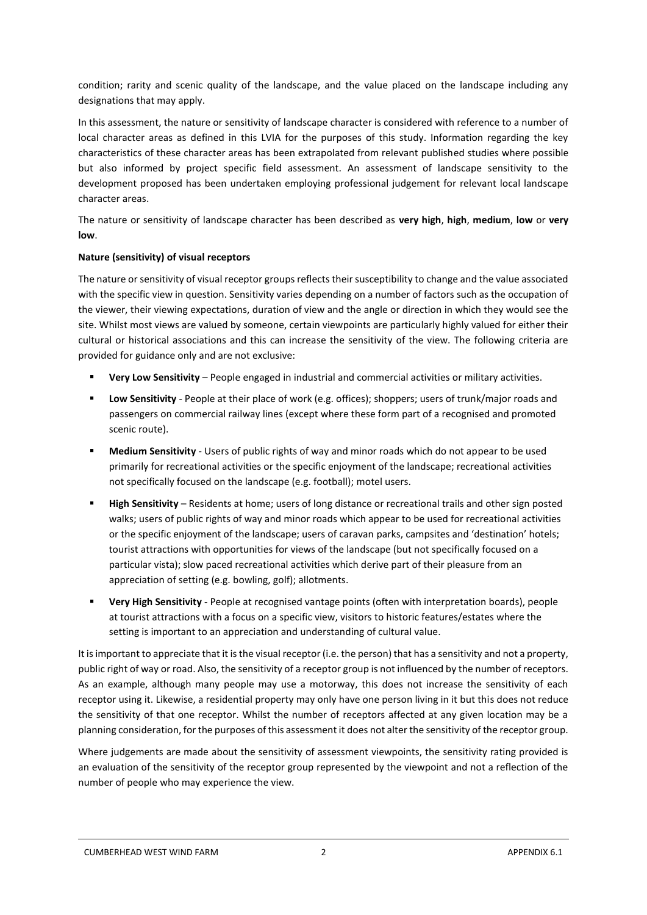condition; rarity and scenic quality of the landscape, and the value placed on the landscape including any designations that may apply.

In this assessment, the nature or sensitivity of landscape character is considered with reference to a number of local character areas as defined in this LVIA for the purposes of this study. Information regarding the key characteristics of these character areas has been extrapolated from relevant published studies where possible but also informed by project specific field assessment. An assessment of landscape sensitivity to the development proposed has been undertaken employing professional judgement for relevant local landscape character areas.

The nature or sensitivity of landscape character has been described as **very high**, **high**, **medium**, **low** or **very low**.

### **Nature (sensitivity) of visual receptors**

The nature or sensitivity of visual receptor groups reflects their susceptibility to change and the value associated with the specific view in question. Sensitivity varies depending on a number of factors such as the occupation of the viewer, their viewing expectations, duration of view and the angle or direction in which they would see the site. Whilst most views are valued by someone, certain viewpoints are particularly highly valued for either their cultural or historical associations and this can increase the sensitivity of the view. The following criteria are provided for guidance only and are not exclusive:

- **Very Low Sensitivity** People engaged in industrial and commercial activities or military activities.
- **Low Sensitivity** People at their place of work (e.g. offices); shoppers; users of trunk/major roads and passengers on commercial railway lines (except where these form part of a recognised and promoted scenic route).
- **Medium Sensitivity** Users of public rights of way and minor roads which do not appear to be used primarily for recreational activities or the specific enjoyment of the landscape; recreational activities not specifically focused on the landscape (e.g. football); motel users.
- **High Sensitivity** Residents at home; users of long distance or recreational trails and other sign posted walks; users of public rights of way and minor roads which appear to be used for recreational activities or the specific enjoyment of the landscape; users of caravan parks, campsites and 'destination' hotels; tourist attractions with opportunities for views of the landscape (but not specifically focused on a particular vista); slow paced recreational activities which derive part of their pleasure from an appreciation of setting (e.g. bowling, golf); allotments.
- Very High Sensitivity People at recognised vantage points (often with interpretation boards), people at tourist attractions with a focus on a specific view, visitors to historic features/estates where the setting is important to an appreciation and understanding of cultural value.

It is important to appreciate that it is the visual receptor (i.e. the person) that has a sensitivity and not a property, public right of way or road. Also, the sensitivity of a receptor group is not influenced by the number of receptors. As an example, although many people may use a motorway, this does not increase the sensitivity of each receptor using it. Likewise, a residential property may only have one person living in it but this does not reduce the sensitivity of that one receptor. Whilst the number of receptors affected at any given location may be a planning consideration, for the purposes of this assessment it does not alter the sensitivity of the receptor group.

Where judgements are made about the sensitivity of assessment viewpoints, the sensitivity rating provided is an evaluation of the sensitivity of the receptor group represented by the viewpoint and not a reflection of the number of people who may experience the view.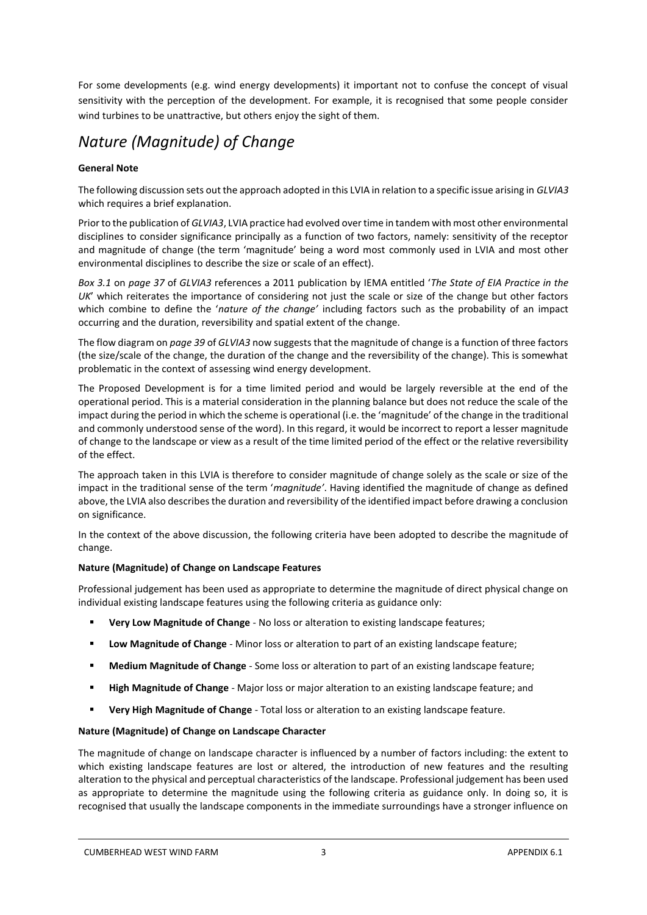For some developments (e.g. wind energy developments) it important not to confuse the concept of visual sensitivity with the perception of the development. For example, it is recognised that some people consider wind turbines to be unattractive, but others enjoy the sight of them.

## <span id="page-4-0"></span>*Nature (Magnitude) of Change*

### **General Note**

The following discussion sets out the approach adopted in this LVIA in relation to a specific issue arising in *GLVIA3* which requires a brief explanation.

Prior to the publication of *GLVIA3*, LVIA practice had evolved over time in tandem with most other environmental disciplines to consider significance principally as a function of two factors, namely: sensitivity of the receptor and magnitude of change (the term 'magnitude' being a word most commonly used in LVIA and most other environmental disciplines to describe the size or scale of an effect).

*Box 3.1* on *page 37* of *GLVIA3* references a 2011 publication by IEMA entitled '*The State of EIA Practice in the UK*' which reiterates the importance of considering not just the scale or size of the change but other factors which combine to define the '*nature of the change'* including factors such as the probability of an impact occurring and the duration, reversibility and spatial extent of the change.

The flow diagram on *page 39* of *GLVIA3* now suggests that the magnitude of change is a function of three factors (the size/scale of the change, the duration of the change and the reversibility of the change). This is somewhat problematic in the context of assessing wind energy development.

The Proposed Development is for a time limited period and would be largely reversible at the end of the operational period. This is a material consideration in the planning balance but does not reduce the scale of the impact during the period in which the scheme is operational (i.e. the 'magnitude' of the change in the traditional and commonly understood sense of the word). In this regard, it would be incorrect to report a lesser magnitude of change to the landscape or view as a result of the time limited period of the effect or the relative reversibility of the effect.

The approach taken in this LVIA is therefore to consider magnitude of change solely as the scale or size of the impact in the traditional sense of the term '*magnitude'*. Having identified the magnitude of change as defined above, the LVIA also describes the duration and reversibility of the identified impact before drawing a conclusion on significance.

In the context of the above discussion, the following criteria have been adopted to describe the magnitude of change.

### **Nature (Magnitude) of Change on Landscape Features**

Professional judgement has been used as appropriate to determine the magnitude of direct physical change on individual existing landscape features using the following criteria as guidance only:

- **Very Low Magnitude of Change** No loss or alteration to existing landscape features;
- **Low Magnitude of Change** Minor loss or alteration to part of an existing landscape feature;
- **■** Medium Magnitude of Change Some loss or alteration to part of an existing landscape feature;
- **High Magnitude of Change** Major loss or major alteration to an existing landscape feature; and
- **Very High Magnitude of Change** Total loss or alteration to an existing landscape feature.

### **Nature (Magnitude) of Change on Landscape Character**

The magnitude of change on landscape character is influenced by a number of factors including: the extent to which existing landscape features are lost or altered, the introduction of new features and the resulting alteration to the physical and perceptual characteristics of the landscape. Professional judgement has been used as appropriate to determine the magnitude using the following criteria as guidance only. In doing so, it is recognised that usually the landscape components in the immediate surroundings have a stronger influence on

CUMBERHEAD WEST WIND FARM 3 3 APPENDIX 6.1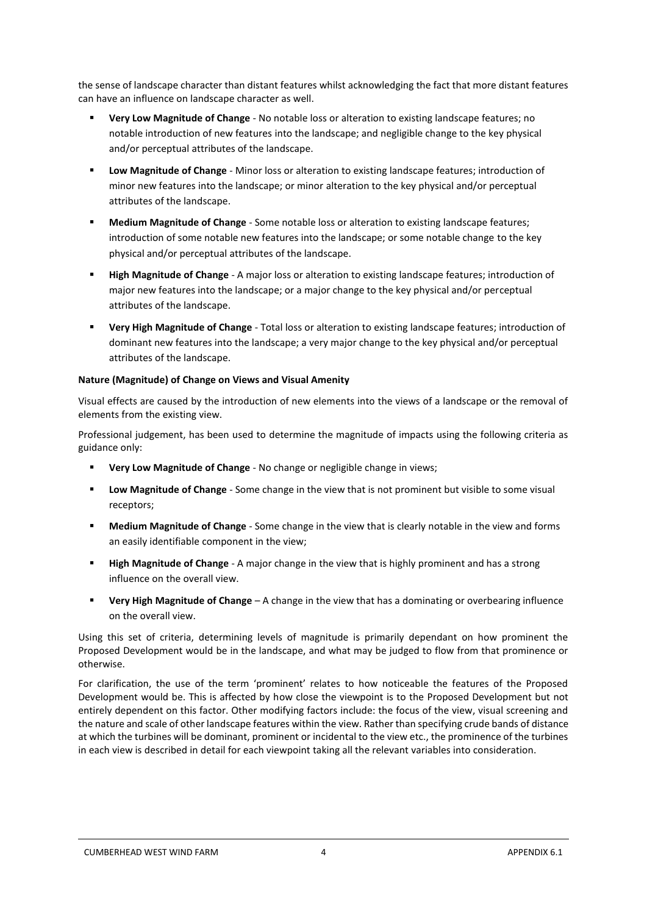the sense of landscape character than distant features whilst acknowledging the fact that more distant features can have an influence on landscape character as well.

- **Very Low Magnitude of Change** No notable loss or alteration to existing landscape features; no notable introduction of new features into the landscape; and negligible change to the key physical and/or perceptual attributes of the landscape.
- **Low Magnitude of Change** Minor loss or alteration to existing landscape features; introduction of minor new features into the landscape; or minor alteration to the key physical and/or perceptual attributes of the landscape.
- **Medium Magnitude of Change** Some notable loss or alteration to existing landscape features; introduction of some notable new features into the landscape; or some notable change to the key physical and/or perceptual attributes of the landscape.
- **High Magnitude of Change** A major loss or alteration to existing landscape features; introduction of major new features into the landscape; or a major change to the key physical and/or perceptual attributes of the landscape.
- Very High Magnitude of Change Total loss or alteration to existing landscape features; introduction of dominant new features into the landscape; a very major change to the key physical and/or perceptual attributes of the landscape.

### **Nature (Magnitude) of Change on Views and Visual Amenity**

Visual effects are caused by the introduction of new elements into the views of a landscape or the removal of elements from the existing view.

Professional judgement, has been used to determine the magnitude of impacts using the following criteria as guidance only:

- Very Low Magnitude of Change No change or negligible change in views;
- **■** Low Magnitude of Change Some change in the view that is not prominent but visible to some visual receptors;
- **Medium Magnitude of Change** Some change in the view that is clearly notable in the view and forms an easily identifiable component in the view;
- **EXTER 19 High Magnitude of Change** A major change in the view that is highly prominent and has a strong influence on the overall view.
- **Very High Magnitude of Change** A change in the view that has a dominating or overbearing influence on the overall view.

Using this set of criteria, determining levels of magnitude is primarily dependant on how prominent the Proposed Development would be in the landscape, and what may be judged to flow from that prominence or otherwise.

For clarification, the use of the term 'prominent' relates to how noticeable the features of the Proposed Development would be. This is affected by how close the viewpoint is to the Proposed Development but not entirely dependent on this factor. Other modifying factors include: the focus of the view, visual screening and the nature and scale of other landscape features within the view. Rather than specifying crude bands of distance at which the turbines will be dominant, prominent or incidental to the view etc., the prominence of the turbines in each view is described in detail for each viewpoint taking all the relevant variables into consideration.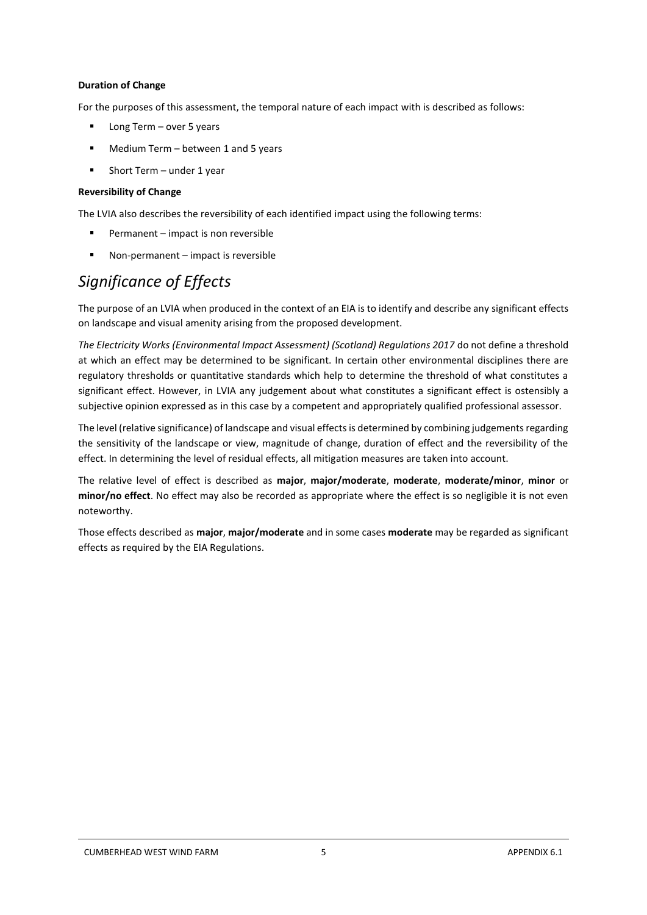#### **Duration of Change**

For the purposes of this assessment, the temporal nature of each impact with is described as follows:

- Long Term over 5 years
- Medium Term between 1 and 5 years
- Short Term under 1 year

#### **Reversibility of Change**

The LVIA also describes the reversibility of each identified impact using the following terms:

- Permanent impact is non reversible
- Non-permanent impact is reversible

## <span id="page-6-0"></span>*Significance of Effects*

The purpose of an LVIA when produced in the context of an EIA is to identify and describe any significant effects on landscape and visual amenity arising from the proposed development.

*The Electricity Works (Environmental Impact Assessment) (Scotland) Regulations 2017* do not define a threshold at which an effect may be determined to be significant. In certain other environmental disciplines there are regulatory thresholds or quantitative standards which help to determine the threshold of what constitutes a significant effect. However, in LVIA any judgement about what constitutes a significant effect is ostensibly a subjective opinion expressed as in this case by a competent and appropriately qualified professional assessor.

The level (relative significance) of landscape and visual effects is determined by combining judgements regarding the sensitivity of the landscape or view, magnitude of change, duration of effect and the reversibility of the effect. In determining the level of residual effects, all mitigation measures are taken into account.

The relative level of effect is described as **major**, **major/moderate**, **moderate**, **moderate/minor**, **minor** or **minor/no effect**. No effect may also be recorded as appropriate where the effect is so negligible it is not even noteworthy.

Those effects described as **major**, **major/moderate** and in some cases **moderate** may be regarded as significant effects as required by the EIA Regulations.